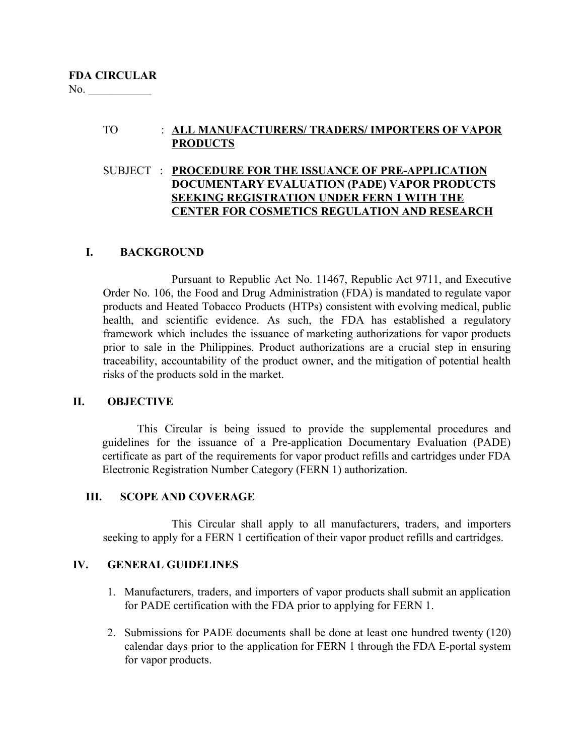# TO : **ALL MANUFACTURERS/ TRADERS/ IMPORTERS OF VAPOR PRODUCTS**

# SUBJECT : **PROCEDURE FOR THE ISSUANCE OF PRE-APPLICATION DOCUMENTARY EVALUATION (PADE) VAPOR PRODUCTS SEEKING REGISTRATION UNDER FERN 1 WITH THE CENTER FOR COSMETICS REGULATION AND RESEARCH**

# **I. BACKGROUND**

Pursuant to Republic Act No. 11467, Republic Act 9711, and Executive Order No. 106, the Food and Drug Administration (FDA) is mandated to regulate vapor products and Heated Tobacco Products (HTPs) consistent with evolving medical, public health, and scientific evidence. As such, the FDA has established a regulatory framework which includes the issuance of marketing authorizations for vapor products prior to sale in the Philippines. Product authorizations are a crucial step in ensuring traceability, accountability of the product owner, and the mitigation of potential health risks of the products sold in the market.

### **II. OBJECTIVE**

This Circular is being issued to provide the supplemental procedures and guidelines for the issuance of a Pre-application Documentary Evaluation (PADE) certificate as part of the requirements for vapor product refills and cartridges under FDA Electronic Registration Number Category (FERN 1) authorization.

### **III. SCOPE AND COVERAGE**

This Circular shall apply to all manufacturers, traders, and importers seeking to apply for a FERN 1 certification of their vapor product refills and cartridges.

### **IV. GENERAL GUIDELINES**

- 1. Manufacturers, traders, and importers of vapor products shall submit an application for PADE certification with the FDA prior to applying for FERN 1.
- 2. Submissions for PADE documents shall be done at least one hundred twenty (120) calendar days prior to the application for FERN 1 through the FDA E-portal system for vapor products.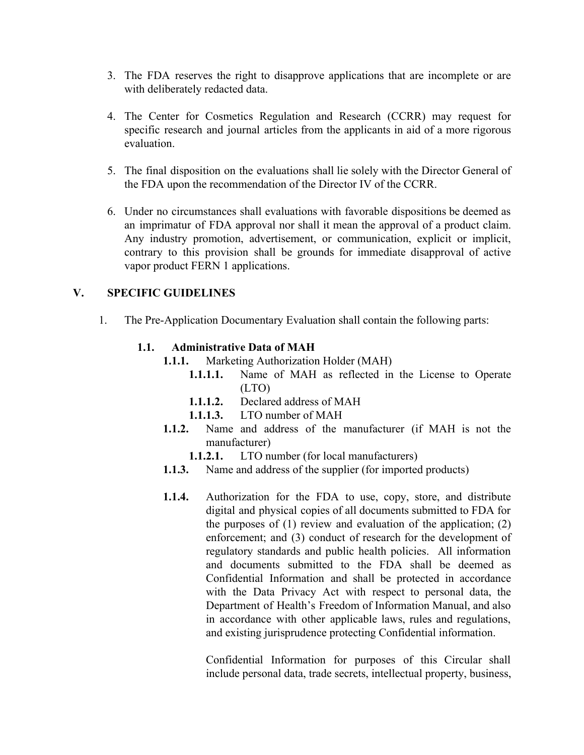- 3. The FDA reserves the right to disapprove applications that are incomplete or are with deliberately redacted data.
- 4. The Center for Cosmetics Regulation and Research (CCRR) may request for specific research and journal articles from the applicants in aid of a more rigorous evaluation.
- 5. The final disposition on the evaluations shall lie solely with the Director General of the FDA upon the recommendation of the Director IV of the CCRR.
- 6. Under no circumstances shall evaluations with favorable dispositions be deemed as an imprimatur of FDA approval nor shall it mean the approval of a product claim. Any industry promotion, advertisement, or communication, explicit or implicit, contrary to this provision shall be grounds for immediate disapproval of active vapor product FERN 1 applications.

# **V. SPECIFIC GUIDELINES**

1. The Pre-Application Documentary Evaluation shall contain the following parts:

## **1.1. Administrative Data of MAH**

- **1.1.1.** Marketing Authorization Holder (MAH)
	- **1.1.1.1.** Name of MAH as reflected in the License to Operate (LTO)
	- **1.1.1.2.** Declared address of MAH
	- **1.1.1.3.** LTO number of MAH
- **1.1.2.** Name and address of the manufacturer (if MAH is not the manufacturer)
	- **1.1.2.1.** LTO number (for local manufacturers)
- **1.1.3.** Name and address of the supplier (for imported products)
- **1.1.4.** Authorization for the FDA to use, copy, store, and distribute digital and physical copies of all documents submitted to FDA for the purposes of  $(1)$  review and evaluation of the application;  $(2)$ enforcement; and (3) conduct of research for the development of regulatory standards and public health policies. All information and documents submitted to the FDA shall be deemed as Confidential Information and shall be protected in accordance with the Data Privacy Act with respect to personal data, the Department of Health's Freedom of Information Manual, and also in accordance with other applicable laws, rules and regulations, and existing jurisprudence protecting Confidential information.

Confidential Information for purposes of this Circular shall include personal data, trade secrets, intellectual property, business,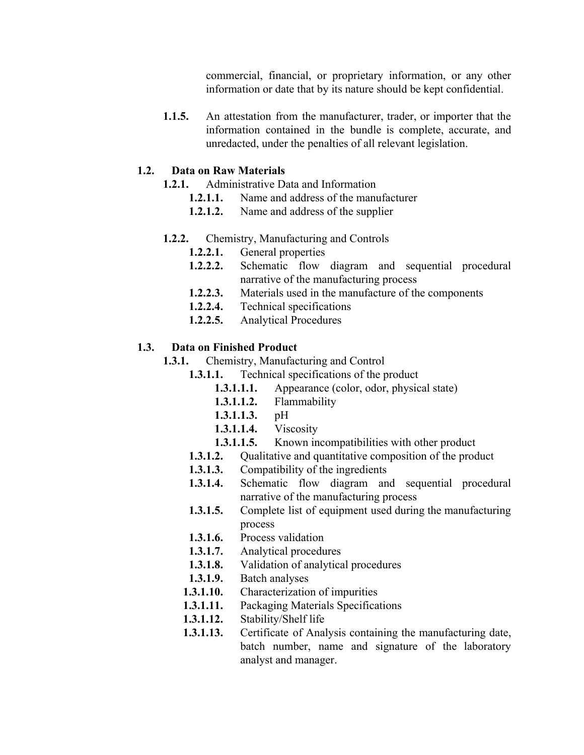commercial, financial, or proprietary information, or any other information or date that by its nature should be kept confidential.

**1.1.5.** An attestation from the manufacturer, trader, or importer that the information contained in the bundle is complete, accurate, and unredacted, under the penalties of all relevant legislation.

### **1.2. Data on Raw Materials**

- **1.2.1.** Administrative Data and Information
	- **1.2.1.1.** Name and address of the manufacturer
	- **1.2.1.2.** Name and address of the supplier

### **1.2.2.** Chemistry, Manufacturing and Controls

- **1.2.2.1.** General properties
- **1.2.2.2.** Schematic flow diagram and sequential procedural narrative of the manufacturing process
- **1.2.2.3.** Materials used in the manufacture of the components
- **1.2.2.4.** Technical specifications
- **1.2.2.5.** Analytical Procedures

## **1.3. Data on Finished Product**

**1.3.1.** Chemistry, Manufacturing and Control

- **1.3.1.1.** Technical specifications of the product
	- **1.3.1.1.1.** Appearance (color, odor, physical state)
	- **1.3.1.1.2.** Flammability
	- **1.3.1.1.3.** pH
	- **1.3.1.1.4.** Viscosity
	- **1.3.1.1.5.** Known incompatibilities with other product
	- **1.3.1.2.** Qualitative and quantitative composition of the product
	- **1.3.1.3.** Compatibility of the ingredients
- **1.3.1.4.** Schematic flow diagram and sequential procedural narrative of the manufacturing process
- **1.3.1.5.** Complete list of equipment used during the manufacturing process
- **1.3.1.6.** Process validation
- **1.3.1.7.** Analytical procedures
- **1.3.1.8.** Validation of analytical procedures
- **1.3.1.9.** Batch analyses
- **1.3.1.10.** Characterization of impurities
- **1.3.1.11.** Packaging Materials Specifications
- **1.3.1.12.** Stability/Shelf life
- **1.3.1.13.** Certificate of Analysis containing the manufacturing date, batch number, name and signature of the laboratory analyst and manager.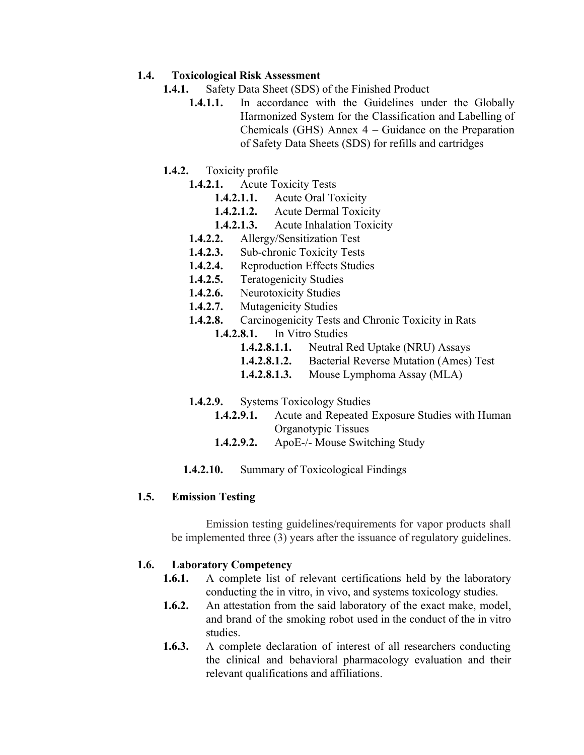## **1.4. Toxicological Risk Assessment**

- **1.4.1.** Safety Data Sheet (SDS) of the Finished Product
	- 1.4.1.1. In accordance with the Guidelines under the Globally Harmonized System for the Classification and Labelling of Chemicals (GHS) Annex 4 – Guidance on the Preparation of Safety Data Sheets (SDS) for refills and cartridges
- **1.4.2.** Toxicity profile
	- **1.4.2.1.** Acute Toxicity Tests
		- **1.4.2.1.1.** Acute Oral Toxicity
		- **1.4.2.1.2.** Acute Dermal Toxicity
		- **1.4.2.1.3.** Acute Inhalation Toxicity
	- **1.4.2.2.** Allergy/Sensitization Test
	- **1.4.2.3.** Sub-chronic Toxicity Tests
	- **1.4.2.4.** Reproduction Effects Studies
	- **1.4.2.5.** Teratogenicity Studies
	- **1.4.2.6.** Neurotoxicity Studies
	- **1.4.2.7.** Mutagenicity Studies
	- **1.4.2.8.** Carcinogenicity Tests and Chronic Toxicity in Rats
		- **1.4.2.8.1.** In Vitro Studies
			- **1.4.2.8.1.1.** Neutral Red Uptake (NRU) Assays
			- **1.4.2.8.1.2.** Bacterial Reverse Mutation (Ames) Test
			- **1.4.2.8.1.3.** Mouse Lymphoma Assay (MLA)
	- **1.4.2.9.** Systems Toxicology Studies
		- **1.4.2.9.1.** Acute and Repeated Exposure Studies with Human Organotypic Tissues
		- **1.4.2.9.2.** ApoE-/- Mouse Switching Study
	- **1.4.2.10.** Summary of Toxicological Findings

### **1.5. Emission Testing**

Emission testing guidelines/requirements for vapor products shall be implemented three (3) years after the issuance of regulatory guidelines.

# **1.6. Laboratory Competency**

- **1.6.1.** A complete list of relevant certifications held by the laboratory conducting the in vitro, in vivo, and systems toxicology studies.
- **1.6.2.** An attestation from the said laboratory of the exact make, model, and brand of the smoking robot used in the conduct of the in vitro studies.
- **1.6.3.** A complete declaration of interest of all researchers conducting the clinical and behavioral pharmacology evaluation and their relevant qualifications and affiliations.